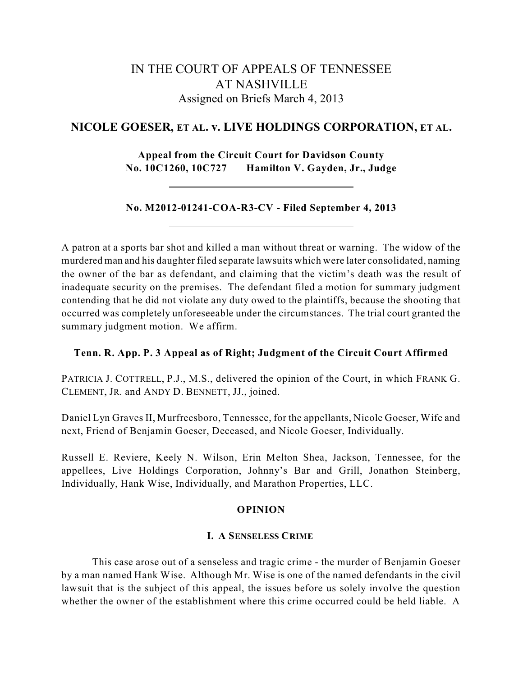# IN THE COURT OF APPEALS OF TENNESSEE AT NASHVILLE Assigned on Briefs March 4, 2013

## **NICOLE GOESER, ET AL. v. LIVE HOLDINGS CORPORATION, ET AL.**

**Appeal from the Circuit Court for Davidson County No. 10C1260, 10C727 Hamilton V. Gayden, Jr., Judge**

## **No. M2012-01241-COA-R3-CV - Filed September 4, 2013**

A patron at a sports bar shot and killed a man without threat or warning. The widow of the murdered man and his daughter filed separate lawsuits which were later consolidated, naming the owner of the bar as defendant, and claiming that the victim's death was the result of inadequate security on the premises. The defendant filed a motion for summary judgment contending that he did not violate any duty owed to the plaintiffs, because the shooting that occurred was completely unforeseeable under the circumstances. The trial court granted the summary judgment motion. We affirm.

## **Tenn. R. App. P. 3 Appeal as of Right; Judgment of the Circuit Court Affirmed**

PATRICIA J. COTTRELL, P.J., M.S., delivered the opinion of the Court, in which FRANK G. CLEMENT, JR. and ANDY D. BENNETT, JJ., joined.

Daniel Lyn Graves II, Murfreesboro, Tennessee, for the appellants, Nicole Goeser, Wife and next, Friend of Benjamin Goeser, Deceased, and Nicole Goeser, Individually.

Russell E. Reviere, Keely N. Wilson, Erin Melton Shea, Jackson, Tennessee, for the appellees, Live Holdings Corporation, Johnny's Bar and Grill, Jonathon Steinberg, Individually, Hank Wise, Individually, and Marathon Properties, LLC.

#### **OPINION**

#### **I. A SENSELESS CRIME**

This case arose out of a senseless and tragic crime - the murder of Benjamin Goeser by a man named Hank Wise. Although Mr. Wise is one of the named defendants in the civil lawsuit that is the subject of this appeal, the issues before us solely involve the question whether the owner of the establishment where this crime occurred could be held liable. A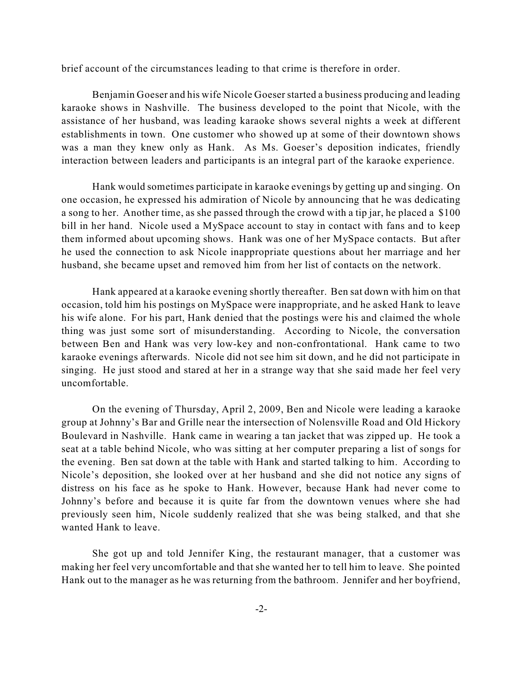brief account of the circumstances leading to that crime is therefore in order.

Benjamin Goeser and his wife Nicole Goeserstarted a business producing and leading karaoke shows in Nashville. The business developed to the point that Nicole, with the assistance of her husband, was leading karaoke shows several nights a week at different establishments in town. One customer who showed up at some of their downtown shows was a man they knew only as Hank. As Ms. Goeser's deposition indicates, friendly interaction between leaders and participants is an integral part of the karaoke experience.

Hank would sometimes participate in karaoke evenings by getting up and singing. On one occasion, he expressed his admiration of Nicole by announcing that he was dedicating a song to her. Another time, as she passed through the crowd with a tip jar, he placed a \$100 bill in her hand. Nicole used a MySpace account to stay in contact with fans and to keep them informed about upcoming shows. Hank was one of her MySpace contacts. But after he used the connection to ask Nicole inappropriate questions about her marriage and her husband, she became upset and removed him from her list of contacts on the network.

Hank appeared at a karaoke evening shortly thereafter. Ben sat down with him on that occasion, told him his postings on MySpace were inappropriate, and he asked Hank to leave his wife alone. For his part, Hank denied that the postings were his and claimed the whole thing was just some sort of misunderstanding. According to Nicole, the conversation between Ben and Hank was very low-key and non-confrontational. Hank came to two karaoke evenings afterwards. Nicole did not see him sit down, and he did not participate in singing. He just stood and stared at her in a strange way that she said made her feel very uncomfortable.

On the evening of Thursday, April 2, 2009, Ben and Nicole were leading a karaoke group at Johnny's Bar and Grille near the intersection of Nolensville Road and Old Hickory Boulevard in Nashville. Hank came in wearing a tan jacket that was zipped up. He took a seat at a table behind Nicole, who was sitting at her computer preparing a list of songs for the evening. Ben sat down at the table with Hank and started talking to him. According to Nicole's deposition, she looked over at her husband and she did not notice any signs of distress on his face as he spoke to Hank. However, because Hank had never come to Johnny's before and because it is quite far from the downtown venues where she had previously seen him, Nicole suddenly realized that she was being stalked, and that she wanted Hank to leave.

She got up and told Jennifer King, the restaurant manager, that a customer was making her feel very uncomfortable and that she wanted her to tell him to leave. She pointed Hank out to the manager as he was returning from the bathroom. Jennifer and her boyfriend,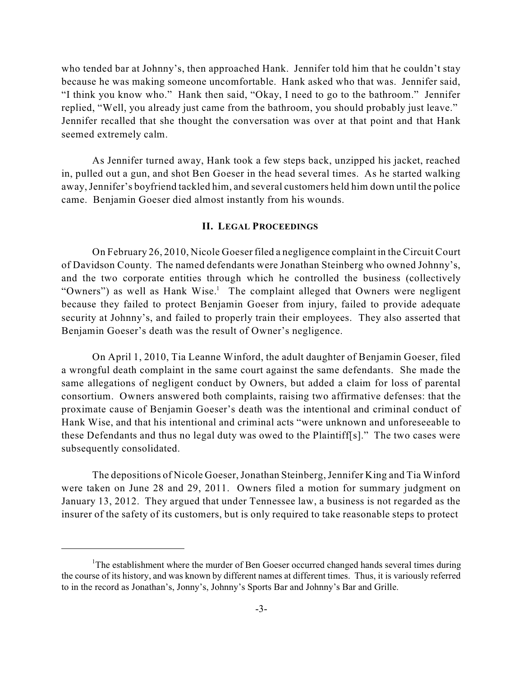who tended bar at Johnny's, then approached Hank. Jennifer told him that he couldn't stay because he was making someone uncomfortable. Hank asked who that was. Jennifer said, "I think you know who." Hank then said, "Okay, I need to go to the bathroom." Jennifer replied, "Well, you already just came from the bathroom, you should probably just leave." Jennifer recalled that she thought the conversation was over at that point and that Hank seemed extremely calm.

As Jennifer turned away, Hank took a few steps back, unzipped his jacket, reached in, pulled out a gun, and shot Ben Goeser in the head several times. As he started walking away,Jennifer's boyfriend tackled him, and several customers held him down until the police came. Benjamin Goeser died almost instantly from his wounds.

#### **II. LEGAL PROCEEDINGS**

On February 26, 2010, Nicole Goeser filed a negligence complaint in the Circuit Court of Davidson County. The named defendants were Jonathan Steinberg who owned Johnny's, and the two corporate entities through which he controlled the business (collectively "Owners") as well as Hank Wise.<sup>1</sup> The complaint alleged that Owners were negligent because they failed to protect Benjamin Goeser from injury, failed to provide adequate security at Johnny's, and failed to properly train their employees. They also asserted that Benjamin Goeser's death was the result of Owner's negligence.

On April 1, 2010, Tia Leanne Winford, the adult daughter of Benjamin Goeser, filed a wrongful death complaint in the same court against the same defendants. She made the same allegations of negligent conduct by Owners, but added a claim for loss of parental consortium. Owners answered both complaints, raising two affirmative defenses: that the proximate cause of Benjamin Goeser's death was the intentional and criminal conduct of Hank Wise, and that his intentional and criminal acts "were unknown and unforeseeable to these Defendants and thus no legal duty was owed to the Plaintiff[s]." The two cases were subsequently consolidated.

The depositions of Nicole Goeser,Jonathan Steinberg,Jennifer King and Tia Winford were taken on June 28 and 29, 2011. Owners filed a motion for summary judgment on January 13, 2012. They argued that under Tennessee law, a business is not regarded as the insurer of the safety of its customers, but is only required to take reasonable steps to protect

<sup>&</sup>lt;sup>1</sup>The establishment where the murder of Ben Goeser occurred changed hands several times during the course of its history, and was known by different names at different times. Thus, it is variously referred to in the record as Jonathan's, Jonny's, Johnny's Sports Bar and Johnny's Bar and Grille.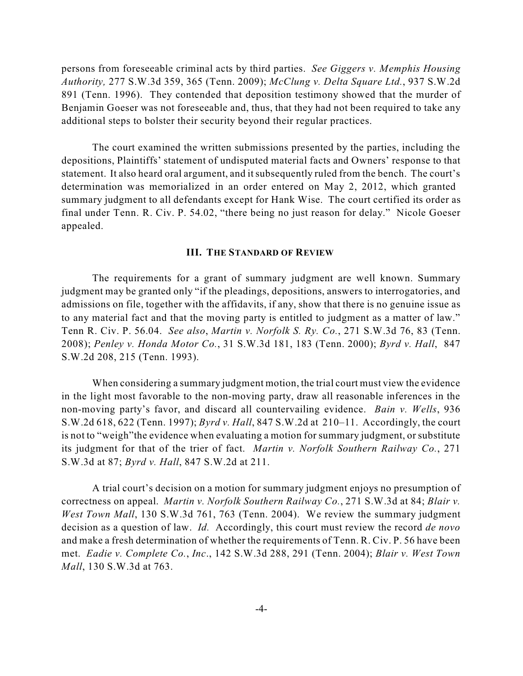persons from foreseeable criminal acts by third parties. *See Giggers v. Memphis Housing Authority,* 277 S.W.3d 359, 365 (Tenn. 2009); *McClung v. Delta Square Ltd.*, 937 S.W.2d 891 (Tenn. 1996). They contended that deposition testimony showed that the murder of Benjamin Goeser was not foreseeable and, thus, that they had not been required to take any additional steps to bolster their security beyond their regular practices.

The court examined the written submissions presented by the parties, including the depositions, Plaintiffs' statement of undisputed material facts and Owners' response to that statement. It also heard oral argument, and itsubsequently ruled from the bench. The court's determination was memorialized in an order entered on May 2, 2012, which granted summary judgment to all defendants except for Hank Wise. The court certified its order as final under Tenn. R. Civ. P. 54.02, "there being no just reason for delay." Nicole Goeser appealed.

#### **III. THE STANDARD OF REVIEW**

The requirements for a grant of summary judgment are well known. Summary judgment may be granted only "if the pleadings, depositions, answers to interrogatories, and admissions on file, together with the affidavits, if any, show that there is no genuine issue as to any material fact and that the moving party is entitled to judgment as a matter of law." Tenn R. Civ. P. 56.04. *See also*, *Martin v. Norfolk S. Ry. Co.*, 271 S.W.3d 76, 83 (Tenn. 2008); *Penley v. Honda Motor Co.*, 31 S.W.3d 181, 183 (Tenn. 2000); *Byrd v. Hall*, 847 S.W.2d 208, 215 (Tenn. 1993).

When considering a summary judgment motion, the trial court must view the evidence in the light most favorable to the non-moving party, draw all reasonable inferences in the non-moving party's favor, and discard all countervailing evidence. *Bain v. Wells*, 936 S.W.2d 618, 622 (Tenn. 1997); *Byrd v. Hall*, 847 S.W.2d at 210–11. Accordingly, the court is not to "weigh"the evidence when evaluating a motion for summary judgment, or substitute its judgment for that of the trier of fact. *Martin v. Norfolk Southern Railway Co.*, 271 S.W.3d at 87; *Byrd v. Hall*, 847 S.W.2d at 211.

A trial court's decision on a motion for summary judgment enjoys no presumption of correctness on appeal. *Martin v. Norfolk Southern Railway Co.*, 271 S.W.3d at 84; *Blair v. West Town Mall*, 130 S.W.3d 761, 763 (Tenn. 2004). We review the summary judgment decision as a question of law. *Id.* Accordingly, this court must review the record *de novo* and make a fresh determination of whether the requirements of Tenn. R. Civ. P. 56 have been met. *Eadie v. Complete Co.*, *Inc*., 142 S.W.3d 288, 291 (Tenn. 2004); *Blair v. West Town Mall*, 130 S.W.3d at 763.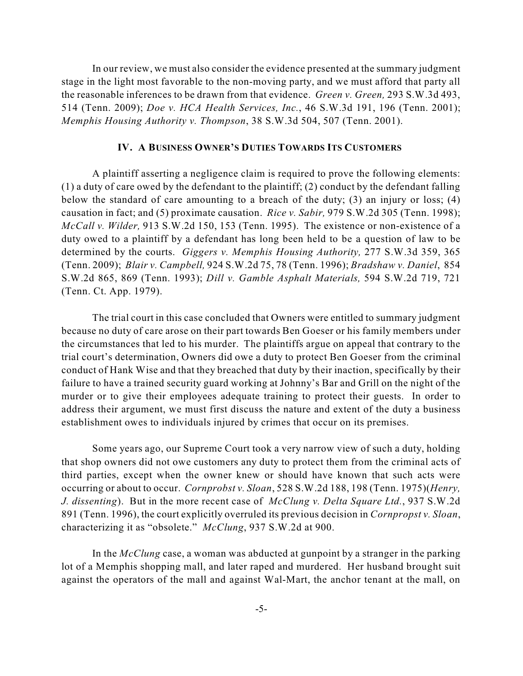In our review, we must also consider the evidence presented at the summary judgment stage in the light most favorable to the non-moving party, and we must afford that party all the reasonable inferences to be drawn from that evidence. *Green v. Green,* 293 S.W.3d 493, 514 (Tenn. 2009); *Doe v. HCA Health Services, Inc.*, 46 S.W.3d 191, 196 (Tenn. 2001); *Memphis Housing Authority v. Thompson*, 38 S.W.3d 504, 507 (Tenn. 2001).

#### **IV. A BUSINESS OWNER'S DUTIES TOWARDS ITS CUSTOMERS**

A plaintiff asserting a negligence claim is required to prove the following elements: (1) a duty of care owed by the defendant to the plaintiff; (2) conduct by the defendant falling below the standard of care amounting to a breach of the duty; (3) an injury or loss; (4) causation in fact; and (5) proximate causation. *Rice v. Sabir,* 979 S.W.2d 305 (Tenn. 1998); *McCall v. Wilder,* 913 S.W.2d 150, 153 (Tenn. 1995). The existence or non-existence of a duty owed to a plaintiff by a defendant has long been held to be a question of law to be determined by the courts. *Giggers v. Memphis Housing Authority,* 277 S.W.3d 359, 365 (Tenn. 2009); *Blair v. Campbell,* 924 S.W.2d 75, 78 (Tenn. 1996); *Bradshaw v. Daniel*, 854 S.W.2d 865, 869 (Tenn. 1993); *Dill v. Gamble Asphalt Materials,* 594 S.W.2d 719, 721 (Tenn. Ct. App. 1979).

The trial court in this case concluded that Owners were entitled to summary judgment because no duty of care arose on their part towards Ben Goeser or his family members under the circumstances that led to his murder. The plaintiffs argue on appeal that contrary to the trial court's determination, Owners did owe a duty to protect Ben Goeser from the criminal conduct of Hank Wise and that they breached that duty by their inaction, specifically by their failure to have a trained security guard working at Johnny's Bar and Grill on the night of the murder or to give their employees adequate training to protect their guests. In order to address their argument, we must first discuss the nature and extent of the duty a business establishment owes to individuals injured by crimes that occur on its premises.

Some years ago, our Supreme Court took a very narrow view of such a duty, holding that shop owners did not owe customers any duty to protect them from the criminal acts of third parties, except when the owner knew or should have known that such acts were occurring or about to occur. *Cornprobst v. Sloan*, 528 S.W.2d 188, 198 (Tenn. 1975)(*Henry, J. dissenting*). But in the more recent case of *McClung v. Delta Square Ltd.*, 937 S.W.2d 891 (Tenn. 1996), the court explicitly overruled its previous decision in *Cornpropst v. Sloan*, characterizing it as "obsolete." *McClung*, 937 S.W.2d at 900.

In the *McClung* case, a woman was abducted at gunpoint by a stranger in the parking lot of a Memphis shopping mall, and later raped and murdered. Her husband brought suit against the operators of the mall and against Wal-Mart, the anchor tenant at the mall, on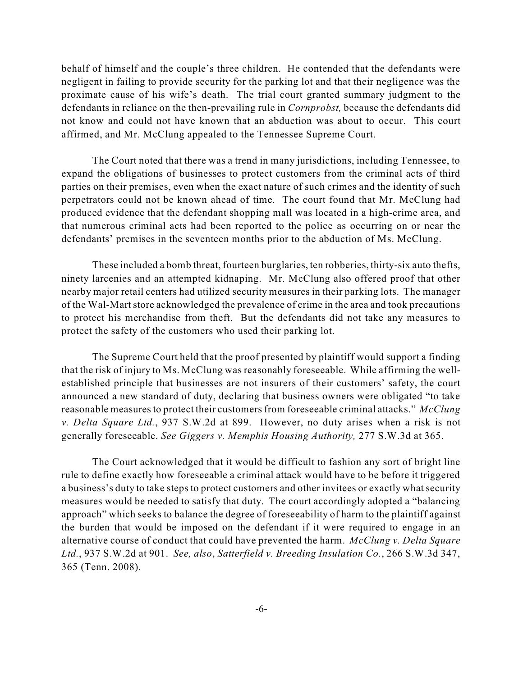behalf of himself and the couple's three children. He contended that the defendants were negligent in failing to provide security for the parking lot and that their negligence was the proximate cause of his wife's death. The trial court granted summary judgment to the defendants in reliance on the then-prevailing rule in *Cornprobst,* because the defendants did not know and could not have known that an abduction was about to occur. This court affirmed, and Mr. McClung appealed to the Tennessee Supreme Court.

The Court noted that there was a trend in many jurisdictions, including Tennessee, to expand the obligations of businesses to protect customers from the criminal acts of third parties on their premises, even when the exact nature of such crimes and the identity of such perpetrators could not be known ahead of time. The court found that Mr. McClung had produced evidence that the defendant shopping mall was located in a high-crime area, and that numerous criminal acts had been reported to the police as occurring on or near the defendants' premises in the seventeen months prior to the abduction of Ms. McClung.

These included a bomb threat, fourteen burglaries, ten robberies, thirty-six auto thefts, ninety larcenies and an attempted kidnaping. Mr. McClung also offered proof that other nearby major retail centers had utilized security measures in their parking lots. The manager of the Wal-Martstore acknowledged the prevalence of crime in the area and took precautions to protect his merchandise from theft. But the defendants did not take any measures to protect the safety of the customers who used their parking lot.

The Supreme Court held that the proof presented by plaintiff would support a finding that the risk of injury to Ms. McClung was reasonably foreseeable. While affirming the wellestablished principle that businesses are not insurers of their customers' safety, the court announced a new standard of duty, declaring that business owners were obligated "to take reasonable measures to protect their customers from foreseeable criminal attacks." *McClung v. Delta Square Ltd.*, 937 S.W.2d at 899. However, no duty arises when a risk is not generally foreseeable. *See Giggers v. Memphis Housing Authority,* 277 S.W.3d at 365.

The Court acknowledged that it would be difficult to fashion any sort of bright line rule to define exactly how foreseeable a criminal attack would have to be before it triggered a business's duty to take steps to protect customers and other invitees or exactly what security measures would be needed to satisfy that duty. The court accordingly adopted a "balancing approach" which seeks to balance the degree of foreseeability of harm to the plaintiff against the burden that would be imposed on the defendant if it were required to engage in an alternative course of conduct that could have prevented the harm. *McClung v. Delta Square Ltd.*, 937 S.W.2d at 901. *See, also*, *Satterfield v. Breeding Insulation Co.*, 266 S.W.3d 347, 365 (Tenn. 2008).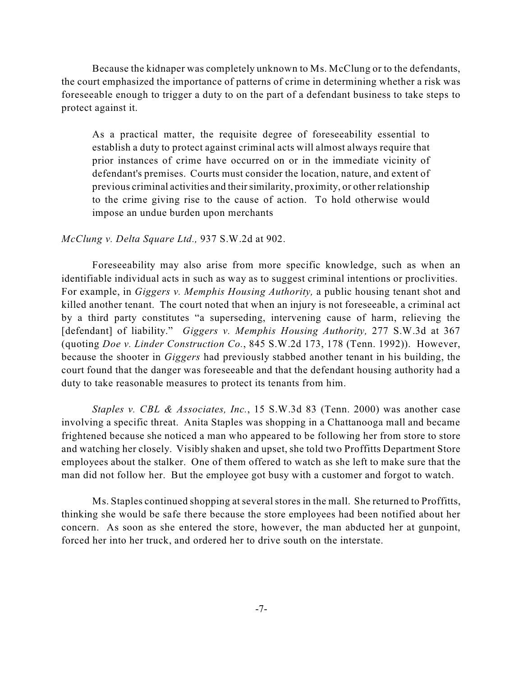Because the kidnaper was completely unknown to Ms. McClung or to the defendants, the court emphasized the importance of patterns of crime in determining whether a risk was foreseeable enough to trigger a duty to on the part of a defendant business to take steps to protect against it.

As a practical matter, the requisite degree of foreseeability essential to establish a duty to protect against criminal acts will almost always require that prior instances of crime have occurred on or in the immediate vicinity of defendant's premises. Courts must consider the location, nature, and extent of previous criminal activities and theirsimilarity, proximity, or other relationship to the crime giving rise to the cause of action. To hold otherwise would impose an undue burden upon merchants

#### *McClung v. Delta Square Ltd.,* 937 S.W.2d at 902.

Foreseeability may also arise from more specific knowledge, such as when an identifiable individual acts in such as way as to suggest criminal intentions or proclivities. For example, in *Giggers v. Memphis Housing Authority,* a public housing tenant shot and killed another tenant. The court noted that when an injury is not foreseeable, a criminal act by a third party constitutes "a superseding, intervening cause of harm, relieving the [defendant] of liability." *Giggers v. Memphis Housing Authority,* 277 S.W.3d at 367 (quoting *Doe v. Linder Construction Co.*, 845 S.W.2d 173, 178 (Tenn. 1992)). However, because the shooter in *Giggers* had previously stabbed another tenant in his building, the court found that the danger was foreseeable and that the defendant housing authority had a duty to take reasonable measures to protect its tenants from him.

*Staples v. CBL & Associates, Inc.*, 15 S.W.3d 83 (Tenn. 2000) was another case involving a specific threat. Anita Staples was shopping in a Chattanooga mall and became frightened because she noticed a man who appeared to be following her from store to store and watching her closely. Visibly shaken and upset, she told two Proffitts Department Store employees about the stalker. One of them offered to watch as she left to make sure that the man did not follow her. But the employee got busy with a customer and forgot to watch.

Ms. Staples continued shopping at several stores in the mall. She returned to Proffitts, thinking she would be safe there because the store employees had been notified about her concern. As soon as she entered the store, however, the man abducted her at gunpoint, forced her into her truck, and ordered her to drive south on the interstate.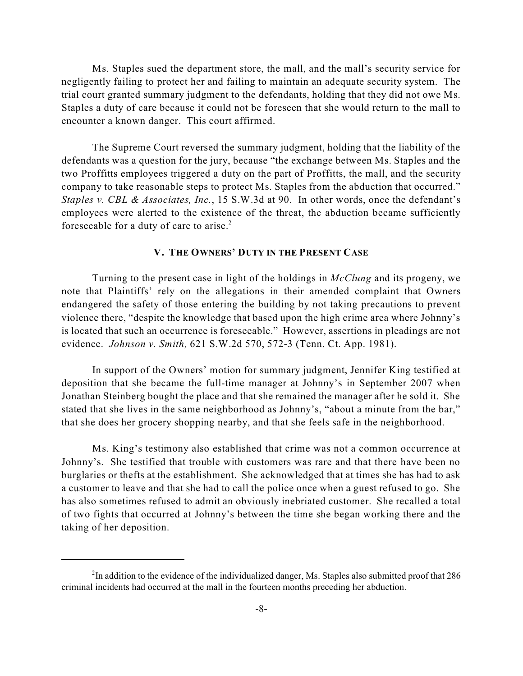Ms. Staples sued the department store, the mall, and the mall's security service for negligently failing to protect her and failing to maintain an adequate security system. The trial court granted summary judgment to the defendants, holding that they did not owe Ms. Staples a duty of care because it could not be foreseen that she would return to the mall to encounter a known danger. This court affirmed.

The Supreme Court reversed the summary judgment, holding that the liability of the defendants was a question for the jury, because "the exchange between Ms. Staples and the two Proffitts employees triggered a duty on the part of Proffitts, the mall, and the security company to take reasonable steps to protect Ms. Staples from the abduction that occurred." *Staples v. CBL & Associates, Inc.*, 15 S.W.3d at 90. In other words, once the defendant's employees were alerted to the existence of the threat, the abduction became sufficiently foreseeable for a duty of care to arise.<sup>2</sup>

### **V. THE OWNERS' DUTY IN THE PRESENT CASE**

Turning to the present case in light of the holdings in *McClung* and its progeny, we note that Plaintiffs' rely on the allegations in their amended complaint that Owners endangered the safety of those entering the building by not taking precautions to prevent violence there, "despite the knowledge that based upon the high crime area where Johnny's is located that such an occurrence is foreseeable." However, assertions in pleadings are not evidence. *Johnson v. Smith,* 621 S.W.2d 570, 572-3 (Tenn. Ct. App. 1981).

In support of the Owners' motion for summary judgment, Jennifer King testified at deposition that she became the full-time manager at Johnny's in September 2007 when Jonathan Steinberg bought the place and that she remained the manager after he sold it. She stated that she lives in the same neighborhood as Johnny's, "about a minute from the bar," that she does her grocery shopping nearby, and that she feels safe in the neighborhood.

Ms. King's testimony also established that crime was not a common occurrence at Johnny's. She testified that trouble with customers was rare and that there have been no burglaries or thefts at the establishment. She acknowledged that at times she has had to ask a customer to leave and that she had to call the police once when a guest refused to go. She has also sometimes refused to admit an obviously inebriated customer. She recalled a total of two fights that occurred at Johnny's between the time she began working there and the taking of her deposition.

<sup>&</sup>lt;sup>2</sup>In addition to the evidence of the individualized danger, Ms. Staples also submitted proof that 286 criminal incidents had occurred at the mall in the fourteen months preceding her abduction.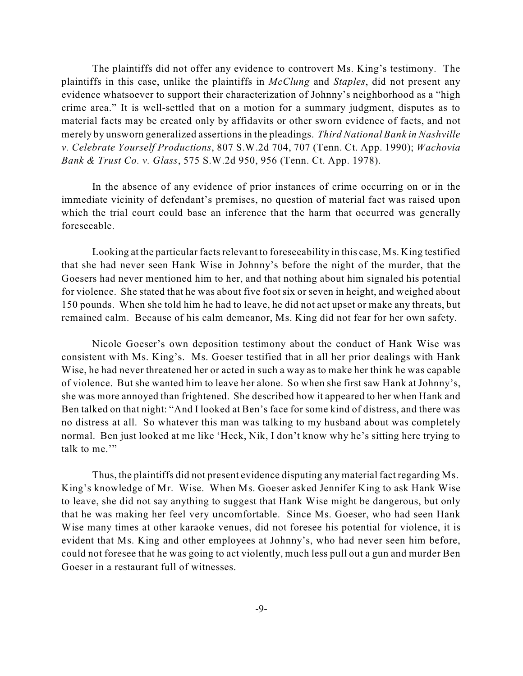The plaintiffs did not offer any evidence to controvert Ms. King's testimony. The plaintiffs in this case, unlike the plaintiffs in *McClung* and *Staples*, did not present any evidence whatsoever to support their characterization of Johnny's neighborhood as a "high crime area." It is well-settled that on a motion for a summary judgment, disputes as to material facts may be created only by affidavits or other sworn evidence of facts, and not merely by unsworn generalized assertions in the pleadings. *Third National Bank in Nashville v. Celebrate Yourself Productions*, 807 S.W.2d 704, 707 (Tenn. Ct. App. 1990); *Wachovia Bank & Trust Co. v. Glass*, 575 S.W.2d 950, 956 (Tenn. Ct. App. 1978).

In the absence of any evidence of prior instances of crime occurring on or in the immediate vicinity of defendant's premises, no question of material fact was raised upon which the trial court could base an inference that the harm that occurred was generally foreseeable.

Looking at the particular facts relevant to foreseeability in this case, Ms. King testified that she had never seen Hank Wise in Johnny's before the night of the murder, that the Goesers had never mentioned him to her, and that nothing about him signaled his potential for violence. She stated that he was about five foot six or seven in height, and weighed about 150 pounds. When she told him he had to leave, he did not act upset or make any threats, but remained calm. Because of his calm demeanor, Ms. King did not fear for her own safety.

Nicole Goeser's own deposition testimony about the conduct of Hank Wise was consistent with Ms. King's. Ms. Goeser testified that in all her prior dealings with Hank Wise, he had never threatened her or acted in such a way as to make her think he was capable of violence. But she wanted him to leave her alone. So when she first saw Hank at Johnny's, she was more annoyed than frightened. She described how it appeared to her when Hank and Ben talked on that night: "And I looked at Ben's face for some kind of distress, and there was no distress at all. So whatever this man was talking to my husband about was completely normal. Ben just looked at me like 'Heck, Nik, I don't know why he's sitting here trying to talk to me."

Thus, the plaintiffs did not present evidence disputing any material fact regarding Ms. King's knowledge of Mr. Wise. When Ms. Goeser asked Jennifer King to ask Hank Wise to leave, she did not say anything to suggest that Hank Wise might be dangerous, but only that he was making her feel very uncomfortable. Since Ms. Goeser, who had seen Hank Wise many times at other karaoke venues, did not foresee his potential for violence, it is evident that Ms. King and other employees at Johnny's, who had never seen him before, could not foresee that he was going to act violently, much less pull out a gun and murder Ben Goeser in a restaurant full of witnesses.